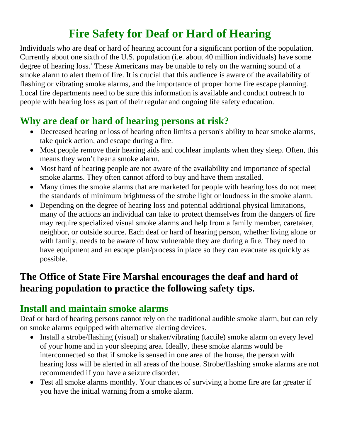# **Fire Safety for Deaf or Hard of Hearing**

Individuals who are deaf or hard of hearing account for a significant portion of the population. Currently about one sixth of the U.S. population (i.e. about 40 million individuals) have some degree of hear[i](#page-1-0)ng loss.<sup>i</sup> These Americans may be unable to rely on the warning sound of a smoke alarm to alert them of fire. It is crucial that this audience is aware of the availability of flashing or vibrating smoke alarms, and the importance of proper home fire escape planning. Local fire departments need to be sure this information is available and conduct outreach to people with hearing loss as part of their regular and ongoing life safety education.

#### **Why are deaf or hard of hearing persons at risk?**

- Decreased hearing or loss of hearing often limits a person's ability to hear smoke alarms, take quick action, and escape during a fire.
- Most people remove their hearing aids and cochlear implants when they sleep. Often, this means they won't hear a smoke alarm.
- Most hard of hearing people are not aware of the availability and importance of special smoke alarms. They often cannot afford to buy and have them installed.
- Many times the smoke alarms that are marketed for people with hearing loss do not meet the standards of minimum brightness of the strobe light or loudness in the smoke alarm.
- Depending on the degree of hearing loss and potential additional physical limitations, many of the actions an individual can take to protect themselves from the dangers of fire may require specialized visual smoke alarms and help from a family member, caretaker, neighbor, or outside source. Each deaf or hard of hearing person, whether living alone or with family, needs to be aware of how vulnerable they are during a fire. They need to have equipment and an escape plan/process in place so they can evacuate as quickly as possible.

# **The Office of State Fire Marshal encourages the deaf and hard of hearing population to practice the following safety tips.**

#### **Install and maintain smoke alarms**

Deaf or hard of hearing persons cannot rely on the traditional audible smoke alarm, but can rely on smoke alarms equipped with alternative alerting devices.

- Install a strobe/flashing (visual) or shaker/vibrating (tactile) smoke alarm on every level of your home and in your sleeping area. Ideally, these smoke alarms would be interconnected so that if smoke is sensed in one area of the house, the person with hearing loss will be alerted in all areas of the house. Strobe/flashing smoke alarms are not recommended if you have a seizure disorder.
- Test all smoke alarms monthly. Your chances of surviving a home fire are far greater if you have the initial warning from a smoke alarm.